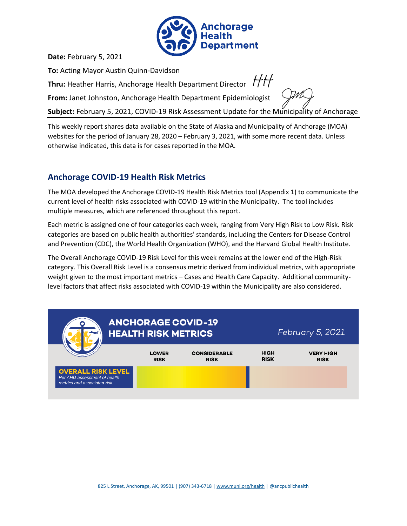

**Date:** February 5, 2021

**To:** Acting Mayor Austin Quinn-Davidson

**Thru:** Heather Harris, Anchorage Health Department Director  $H$ 

**From:** Janet Johnston, Anchorage Health Department Epidemiologist

**Subject:** February 5, 2021, COVID-19 Risk Assessment Update for the Municipality of Anchorage

This weekly report shares data available on the State of Alaska and Municipality of Anchorage (MOA) websites for the period of January 28, 2020 – February 3, 2021, with some more recent data. Unless otherwise indicated, this data is for cases reported in the MOA.

## **Anchorage COVID-19 Health Risk Metrics**

The MOA developed the Anchorage COVID-19 Health Risk Metrics tool (Appendix 1) to communicate the current level of health risks associated with COVID-19 within the Municipality. The tool includes multiple measures, which are referenced throughout this report.

Each metric is assigned one of four categories each week, ranging from Very High Risk to Low Risk. Risk categories are based on public health authorities' standards, including the Centers for Disease Control and Prevention (CDC), the World Health Organization (WHO), and the Harvard Global Health Institute.

The Overall Anchorage COVID-19 Risk Level for this week remains at the lower end of the High-Risk category. This Overall Risk Level is a consensus metric derived from individual metrics, with appropriate weight given to the most important metrics – Cases and Health Care Capacity. Additional communitylevel factors that affect risks associated with COVID-19 within the Municipality are also considered.

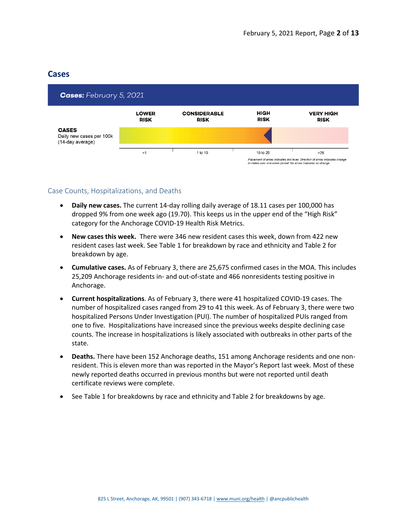### **Cases**



### Case Counts, Hospitalizations, and Deaths

- **Daily new cases.** The current 14-day rolling daily average of 18.11 cases per 100,000 has dropped 9% from one week ago (19.70). This keeps us in the upper end of the "High Risk" category for the Anchorage COVID-19 Health Risk Metrics.
- **New cases this week.** There were 346 new resident cases this week, down from 422 new resident cases last week. See Table 1 for breakdown by race and ethnicity and Table 2 for breakdown by age.
- <span id="page-1-0"></span>• **Cumulative cases.** As of February 3, there are 25,675 confirmed cases in the MOA. This includes 25,209 Anchorage residents in- and out-of-state and 466 nonresidents testing positive in Anchorage.
- **Current hospitalizations**. As o[f February 3,](#page-1-0) there were 41 hospitalized COVID-19 cases. The number of hospitalized cases ranged from 29 to 41 this week. As of [February 3,](#page-1-0) there were two hospitalized Persons Under Investigation (PUI). The number of hospitalized PUIs ranged from one to five. Hospitalizations have increased since the previous weeks despite declining case counts. The increase in hospitalizations is likely associated with outbreaks in other parts of the state.
- **Deaths.** There have been 152 Anchorage deaths, 151 among Anchorage residents and one nonresident. This is eleven more than was reported in the Mayor's Report last week. Most of these newly reported deaths occurred in previous months but were not reported until death certificate reviews were complete.
- See Table 1 for breakdowns by race and ethnicity and Table 2 for breakdowns by age.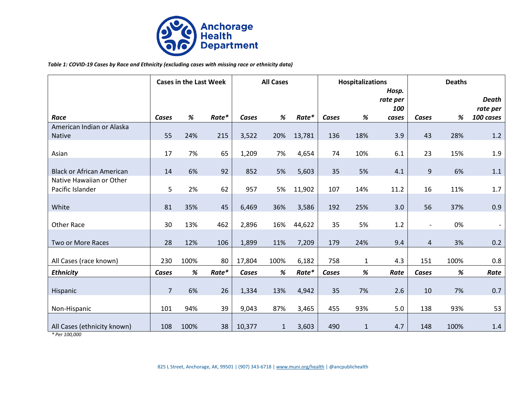

#### *Table 1: COVID-19 Cases by Race and Ethnicity (excluding cases with missing race or ethnicity data)*

|                                  | <b>Cases in the Last Week</b> |      | <b>All Cases</b> |              | <b>Hospitalizations</b> |        |       | <b>Deaths</b> |                          |                          |      |                          |
|----------------------------------|-------------------------------|------|------------------|--------------|-------------------------|--------|-------|---------------|--------------------------|--------------------------|------|--------------------------|
|                                  |                               |      |                  |              |                         |        |       |               | Hosp.<br>rate per<br>100 |                          |      | <b>Death</b><br>rate per |
| Race                             | Cases                         | %    | Rate*            | Cases        | $\%$                    | Rate*  | Cases | %             | cases                    | Cases                    | %    | 100 cases                |
| American Indian or Alaska        |                               |      |                  |              |                         |        |       |               |                          |                          |      |                          |
| Native                           | 55                            | 24%  | 215              | 3,522        | 20%                     | 13,781 | 136   | 18%           | 3.9                      | 43                       | 28%  | 1.2                      |
|                                  |                               |      |                  |              |                         |        |       |               |                          |                          |      |                          |
| Asian                            | 17                            | 7%   | 65               | 1,209        | 7%                      | 4,654  | 74    | 10%           | 6.1                      | 23                       | 15%  | 1.9                      |
| <b>Black or African American</b> | 14                            | 6%   | 92               | 852          | 5%                      | 5,603  | 35    | 5%            | 4.1                      | 9                        | 6%   | 1.1                      |
| Native Hawaiian or Other         |                               |      |                  |              |                         |        |       |               |                          |                          |      |                          |
| Pacific Islander                 | 5                             | 2%   | 62               | 957          | 5%                      | 11,902 | 107   | 14%           | 11.2                     | 16                       | 11%  | 1.7                      |
|                                  |                               |      |                  |              |                         |        |       |               |                          |                          |      |                          |
| White                            | 81                            | 35%  | 45               | 6,469        | 36%                     | 3,586  | 192   | 25%           | 3.0                      | 56                       | 37%  | 0.9                      |
|                                  |                               |      |                  |              |                         |        |       |               |                          |                          |      |                          |
| <b>Other Race</b>                | 30                            | 13%  | 462              | 2,896        | 16%                     | 44,622 | 35    | 5%            | 1.2                      | $\overline{\phantom{a}}$ | 0%   |                          |
| Two or More Races                | 28                            | 12%  | 106              | 1,899        | 11%                     | 7,209  | 179   | 24%           | 9.4                      | $\overline{a}$           | 3%   | 0.2                      |
|                                  |                               |      |                  |              |                         |        |       |               |                          |                          |      |                          |
| All Cases (race known)           | 230                           | 100% | 80               | 17,804       | 100%                    | 6,182  | 758   | $\mathbf{1}$  | 4.3                      | 151                      | 100% | 0.8                      |
| <b>Ethnicity</b>                 | Cases                         | $\%$ | Rate*            | <b>Cases</b> | $\%$                    | Rate*  | Cases | $\%$          | Rate                     | Cases                    | %    | Rate                     |
|                                  |                               |      |                  |              |                         |        |       |               |                          |                          |      |                          |
| Hispanic                         | $\overline{7}$                | 6%   | 26               | 1,334        | 13%                     | 4,942  | 35    | 7%            | 2.6                      | 10                       | 7%   | 0.7                      |
|                                  |                               |      |                  |              |                         |        |       |               |                          |                          |      |                          |
| Non-Hispanic                     | 101                           | 94%  | 39               | 9,043        | 87%                     | 3,465  | 455   | 93%           | 5.0                      | 138                      | 93%  | 53                       |
| All Cases (ethnicity known)      | 108                           | 100% | 38               | 10,377       | $\mathbf{1}$            | 3,603  | 490   | $\mathbf{1}$  | 4.7                      | 148                      | 100% | $1.4\,$                  |
| * Per 100,000                    |                               |      |                  |              |                         |        |       |               |                          |                          |      |                          |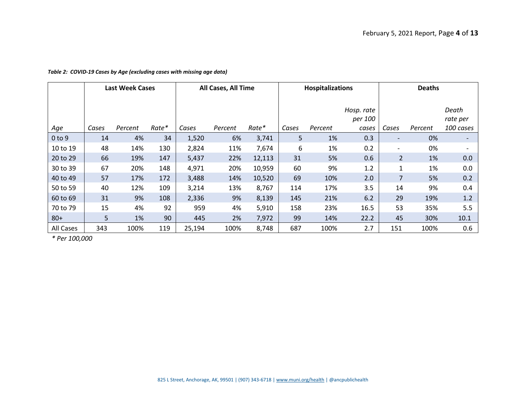|  |  | Table 2: COVID-19 Cases by Age (excluding cases with missing age data) |  |  |  |  |
|--|--|------------------------------------------------------------------------|--|--|--|--|
|--|--|------------------------------------------------------------------------|--|--|--|--|

|            | <b>Last Week Cases</b> |         | All Cases, All Time |        |         | <b>Hospitalizations</b> |       |         | <b>Deaths</b>                  |                |         |                                |
|------------|------------------------|---------|---------------------|--------|---------|-------------------------|-------|---------|--------------------------------|----------------|---------|--------------------------------|
| Age        | Cases                  | Percent | Rate*               | Cases  | Percent | Rate*                   | Cases | Percent | Hosp. rate<br>per 100<br>cases | Cases          | Percent | Death<br>rate per<br>100 cases |
| $0$ to $9$ | 14                     | 4%      | 34                  | 1,520  | 6%      | 3,741                   | 5     | 1%      | 0.3                            |                | 0%      |                                |
| 10 to 19   | 48                     | 14%     | 130                 | 2,824  | 11%     | 7,674                   | 6     | 1%      | 0.2                            |                | 0%      |                                |
| 20 to 29   | 66                     | 19%     | 147                 | 5,437  | 22%     | 12,113                  | 31    | 5%      | 0.6                            | $\overline{2}$ | 1%      | 0.0                            |
| 30 to 39   | 67                     | 20%     | 148                 | 4,971  | 20%     | 10,959                  | 60    | 9%      | 1.2                            | 1              | 1%      | 0.0                            |
| 40 to 49   | 57                     | 17%     | 172                 | 3,488  | 14%     | 10,520                  | 69    | 10%     | 2.0                            | 7              | 5%      | 0.2                            |
| 50 to 59   | 40                     | 12%     | 109                 | 3,214  | 13%     | 8,767                   | 114   | 17%     | 3.5                            | 14             | 9%      | 0.4                            |
| 60 to 69   | 31                     | 9%      | 108                 | 2,336  | 9%      | 8,139                   | 145   | 21%     | 6.2                            | 29             | 19%     | 1.2                            |
| 70 to 79   | 15                     | 4%      | 92                  | 959    | 4%      | 5,910                   | 158   | 23%     | 16.5                           | 53             | 35%     | 5.5                            |
| $80+$      | 5                      | 1%      | 90                  | 445    | 2%      | 7,972                   | 99    | 14%     | 22.2                           | 45             | 30%     | 10.1                           |
| All Cases  | 343                    | 100%    | 119                 | 25,194 | 100%    | 8,748                   | 687   | 100%    | 2.7                            | 151            | 100%    | 0.6                            |

*\* Per 100,000*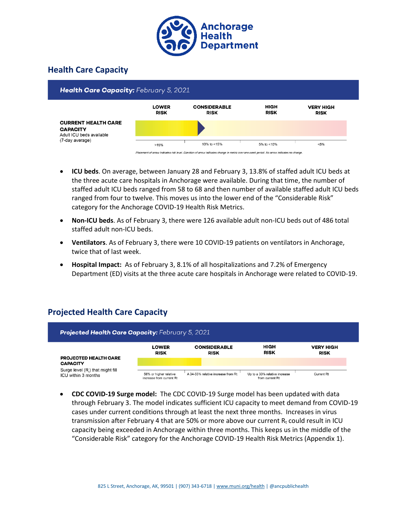

# **Health Care Capacity**



- **ICU beds**. On average, between January 28 and February 3, 13.8% of staffed adult ICU beds at the three acute care hospitals in Anchorage were available. During that time, the number of staffed adult ICU beds ranged from 58 to 68 and then number of available staffed adult ICU beds ranged from four to twelve. This moves us into the lower end of the "Considerable Risk" category for the Anchorage COVID-19 Health Risk Metrics.
- **Non-ICU beds**. As of [February 3,](#page-1-0) there were 126 available adult non-ICU beds out of 486 total staffed adult non-ICU beds.
- **Ventilators**. As o[f February 3,](#page-1-0) there were 10 COVID-19 patients on ventilators in Anchorage, twice that of last week.
- **Hospital Impact:** As o[f February 3,](#page-1-0) 8.1% of all hospitalizations and 7.2% of Emergency Department (ED) visits at the three acute care hospitals in Anchorage were related to COVID-19.

# **Projected Health Care Capacity**

| <b>Projected Health Care Capacity: February 5, 2021</b> |                                                    |                                    |                                                  |                                 |  |  |  |  |  |  |
|---------------------------------------------------------|----------------------------------------------------|------------------------------------|--------------------------------------------------|---------------------------------|--|--|--|--|--|--|
| <b>PROJECTED HEALTH CARE</b>                            | <b>LOWER</b><br><b>RISK</b>                        | <b>CONSIDERABLE</b><br><b>RISK</b> | HIGH<br><b>RISK</b>                              | <b>VERY HIGH</b><br><b>RISK</b> |  |  |  |  |  |  |
| <b>CAPACITY</b>                                         |                                                    |                                    |                                                  |                                 |  |  |  |  |  |  |
| Surge level (R) that might fill<br>ICU within 3 months  | 56% or higher relative<br>increase from current Rt | A 34-55% relative increase from Rt | Up to a 33% relative increase<br>from current Rt | <b>Current Rt</b>               |  |  |  |  |  |  |

• **CDC COVID-19 Surge model:** The CDC COVID-19 Surge model has been updated with data through February 3. The model indicates sufficient ICU capacity to meet demand from COVID-19 cases under current conditions through at least the next three months. Increases in virus transmission after February 4 that are 50% or more above our current  $R_t$  could result in ICU capacity being exceeded in Anchorage within three months. This keeps us in the middle of the "Considerable Risk" category for the Anchorage COVID-19 Health Risk Metrics (Appendix 1).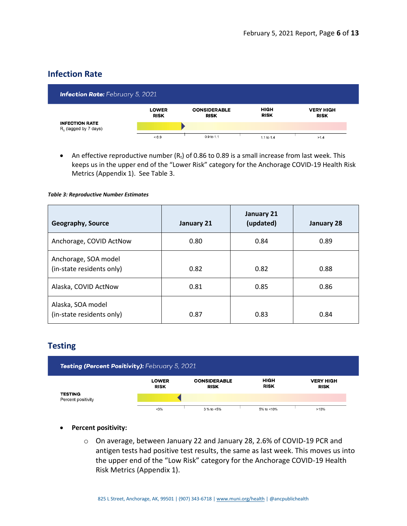## **Infection Rate**

| <b>Infection Rate:</b> February 5, 2021           |                             |                                    |                     |                                 |  |  |  |  |  |  |
|---------------------------------------------------|-----------------------------|------------------------------------|---------------------|---------------------------------|--|--|--|--|--|--|
|                                                   | <b>LOWER</b><br><b>RISK</b> | <b>CONSIDERABLE</b><br><b>RISK</b> | HIGH<br><b>RISK</b> | <b>VERY HIGH</b><br><b>RISK</b> |  |  |  |  |  |  |
| <b>INFECTION RATE</b><br>$R_0$ (lagged by 7 days) |                             |                                    |                     |                                 |  |  |  |  |  |  |
|                                                   | ${}_{0.9}$                  | 0.9 to 1.1                         | 1.1 to 1.4          | >1.4                            |  |  |  |  |  |  |

• An effective reproductive number  $(R_t)$  of 0.86 to 0.89 is a small increase from last week. This keeps us in the upper end of the "Lower Risk" category for the Anchorage COVID-19 Health Risk Metrics (Appendix 1). See Table 3.

#### *Table 3: Reproductive Number Estimates*

| <b>Geography, Source</b>                          | January 21 | January 21<br>(updated) | January 28 |
|---------------------------------------------------|------------|-------------------------|------------|
| Anchorage, COVID ActNow                           | 0.80       | 0.84                    | 0.89       |
| Anchorage, SOA model<br>(in-state residents only) | 0.82       | 0.82                    | 0.88       |
| Alaska, COVID ActNow                              | 0.81       | 0.85                    | 0.86       |
| Alaska, SOA model<br>(in-state residents only)    | 0.87       | 0.83                    | 0.84       |

## **Testing**



### • **Percent positivity:**

o On average, between January 22 and January 28, 2.6% of COVID-19 PCR and antigen tests had positive test results, the same as last week. This moves us into the upper end of the "Low Risk" category for the Anchorage COVID-19 Health Risk Metrics (Appendix 1).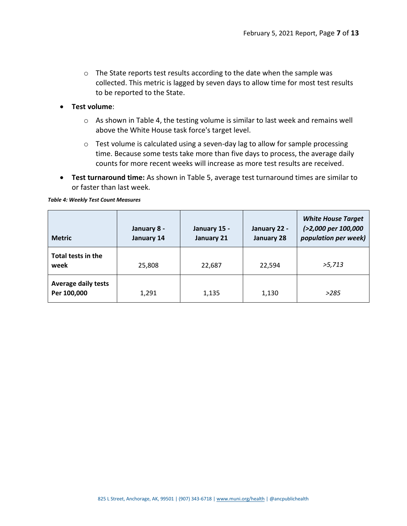o The State reports test results according to the date when the sample was collected. This metric is lagged by seven days to allow time for most test results to be reported to the State.

### • **Test volume**:

- o As shown in Table 4, the testing volume is similar to last week and remains well above the White House task force's target level.
- o Test volume is calculated using a seven-day lag to allow for sample processing time. Because some tests take more than five days to process, the average daily counts for more recent weeks will increase as more test results are received.
- **Test turnaround time:** As shown in Table 5, average test turnaround times are similar to or faster than last week.

| <b>Metric</b>                             | January 8 -<br>January 14 | January 15 -<br>January 21 | January 22 -<br>January 28 | <b>White House Target</b><br>(>2,000 per 100,000<br>population per week) |
|-------------------------------------------|---------------------------|----------------------------|----------------------------|--------------------------------------------------------------------------|
| Total tests in the<br>week                | 25,808                    | 22,687                     | 22,594                     | >5,713                                                                   |
| <b>Average daily tests</b><br>Per 100,000 | 1,291                     | 1,135                      | 1,130                      | >285                                                                     |

#### *Table 4: Weekly Test Count Measures*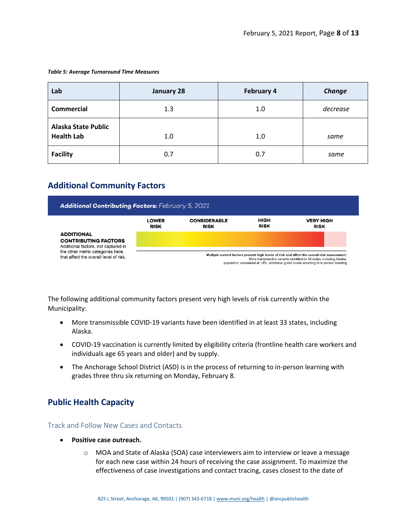#### *Table 5: Average Turnaround Time Measures*

| Lab                                             | January 28 | <b>February 4</b> | Change   |
|-------------------------------------------------|------------|-------------------|----------|
| <b>Commercial</b>                               | 1.3        | 1.0               | decrease |
| <b>Alaska State Public</b><br><b>Health Lab</b> | 1.0        | 1.0               | same     |
| <b>Facility</b>                                 | 0.7        | 0.7               | same     |

# **Additional Community Factors**



The following additional community factors present very high levels of risk currently within the Municipality:

- More transmissible COVID-19 variants have been identified in at least 33 states, including Alaska.
- COVID-19 vaccination is currently limited by eligibility criteria (frontline health care workers and individuals age 65 years and older) and by supply.
- The Anchorage School District (ASD) is in the process of returning to in-person learning with grades three thru six returning on Monday, February 8.

## **Public Health Capacity**

Track and Follow New Cases and Contacts

- **Positive case outreach.**
	- o MOA and State of Alaska (SOA) case interviewers aim to interview or leave a message for each new case within 24 hours of receiving the case assignment. To maximize the effectiveness of case investigations and contact tracing, cases closest to the date of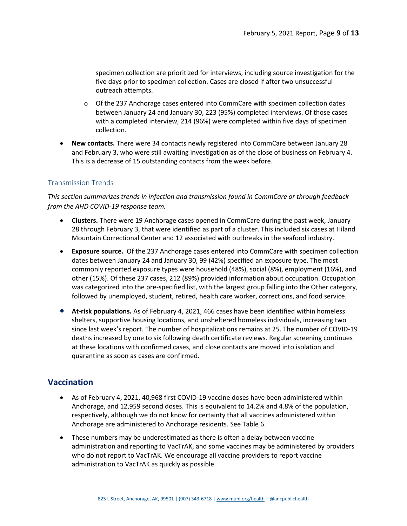specimen collection are prioritized for interviews, including source investigation for the five days prior to specimen collection. Cases are closed if after two unsuccessful outreach attempts.

- $\circ$  Of the 237 Anchorage cases entered into CommCare with specimen collection dates between January 24 and January 30, 223 (95%) completed interviews. Of those cases with a completed interview, 214 (96%) were completed within five days of specimen collection.
- **New contacts.** There were 34 contacts newly registered into CommCare between January 28 and February 3, who were still awaiting investigation as of the close of business on February 4. This is a decrease of 15 outstanding contacts from the week before.

### Transmission Trends

*This section summarizes trends in infection and transmission found in CommCare or through feedback from the AHD COVID-19 response team.*

- **Clusters.** There were 19 Anchorage cases opened in CommCare during the past week, January 28 through February 3, that were identified as part of a cluster. This included six cases at Hiland Mountain Correctional Center and 12 associated with outbreaks in the seafood industry.
- **Exposure source.** Of the 237 Anchorage cases entered into CommCare with specimen collection dates between January 24 and January 30, 99 (42%) specified an exposure type. The most commonly reported exposure types were household (48%), social (8%), employment (16%), and other (15%). Of these 237 cases, 212 (89%) provided information about occupation. Occupation was categorized into the pre-specified list, with the largest group falling into the Other category, followed by unemployed, student, retired, health care worker, corrections, and food service.
- **At-risk populations.** As of February 4, 2021, 466 cases have been identified within homeless shelters, supportive housing locations, and unsheltered homeless individuals, increasing two since last week's report. The number of hospitalizations remains at 25. The number of COVID-19 deaths increased by one to six following death certificate reviews. Regular screening continues at these locations with confirmed cases, and close contacts are moved into isolation and quarantine as soon as cases are confirmed.

## **Vaccination**

- As of February 4, 2021, 40,968 first COVID-19 vaccine doses have been administered within Anchorage, and 12,959 second doses. This is equivalent to 14.2% and 4.8% of the population, respectively, although we do not know for certainty that all vaccines administered within Anchorage are administered to Anchorage residents. See Table 6.
- These numbers may be underestimated as there is often a delay between vaccine administration and reporting to VacTrAK, and some vaccines may be administered by providers who do not report to VacTrAK. We encourage all vaccine providers to report vaccine administration to VacTrAK as quickly as possible.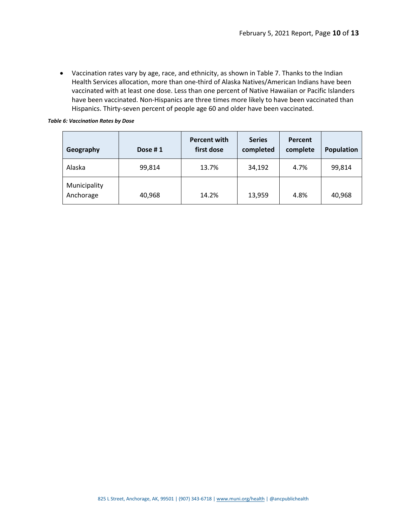• Vaccination rates vary by age, race, and ethnicity, as shown in Table 7. Thanks to the Indian Health Services allocation, more than one-third of Alaska Natives/American Indians have been vaccinated with at least one dose. Less than one percent of Native Hawaiian or Pacific Islanders have been vaccinated. Non-Hispanics are three times more likely to have been vaccinated than Hispanics. Thirty-seven percent of people age 60 and older have been vaccinated.

#### *Table 6: Vaccination Rates by Dose*

| Geography                 | Dose #1 | <b>Percent with</b><br>first dose | <b>Series</b><br>completed | Percent<br>complete | <b>Population</b> |
|---------------------------|---------|-----------------------------------|----------------------------|---------------------|-------------------|
| Alaska                    | 99,814  | 13.7%                             | 34,192                     | 4.7%                | 99,814            |
| Municipality<br>Anchorage | 40,968  | 14.2%                             | 13,959                     | 4.8%                | 40,968            |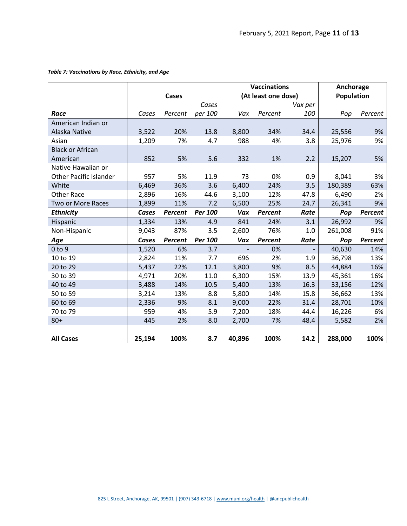|                               |        |         |         |                     | <b>Vaccinations</b> | Anchorage |                   |         |  |
|-------------------------------|--------|---------|---------|---------------------|---------------------|-----------|-------------------|---------|--|
|                               | Cases  |         |         | (At least one dose) |                     |           | <b>Population</b> |         |  |
|                               |        |         | Cases   |                     |                     | Vax per   |                   |         |  |
| Race                          | Cases  | Percent | per 100 | Vax                 | Percent             | 100       | Pop               | Percent |  |
| American Indian or            |        |         |         |                     |                     |           |                   |         |  |
| Alaska Native                 | 3,522  | 20%     | 13.8    | 8,800               | 34%                 | 34.4      | 25,556            | 9%      |  |
| Asian                         | 1,209  | 7%      | 4.7     | 988                 | 4%                  | 3.8       | 25,976            | 9%      |  |
| <b>Black or African</b>       |        |         |         |                     |                     |           |                   |         |  |
| American                      | 852    | 5%      | 5.6     | 332                 | 1%                  | 2.2       | 15,207            | 5%      |  |
| Native Hawaiian or            |        |         |         |                     |                     |           |                   |         |  |
| <b>Other Pacific Islander</b> | 957    | 5%      | 11.9    | 73                  | 0%                  | 0.9       | 8,041             | 3%      |  |
| White                         | 6,469  | 36%     | 3.6     | 6,400               | 24%                 | 3.5       | 180,389           | 63%     |  |
| <b>Other Race</b>             | 2,896  | 16%     | 44.6    | 3,100               | 12%                 | 47.8      | 6,490             | 2%      |  |
| Two or More Races             | 1,899  | 11%     | 7.2     | 6,500               | 25%                 | 24.7      | 26,341            | 9%      |  |
| <b>Ethnicity</b>              | Cases  | Percent | Per 100 | Vax                 | <b>Percent</b>      | Rate      | Pop               | Percent |  |
| Hispanic                      | 1,334  | 13%     | 4.9     | 841                 | 24%                 | 3.1       | 26,992            | 9%      |  |
| Non-Hispanic                  | 9,043  | 87%     | 3.5     | 2,600               | 76%                 | 1.0       | 261,008           | 91%     |  |
| Age                           | Cases  | Percent | Per 100 | Vax                 | <b>Percent</b>      | Rate      | Pop               | Percent |  |
| $0$ to $9$                    | 1,520  | 6%      | 3.7     |                     | 0%                  |           | 40,630            | 14%     |  |
| 10 to 19                      | 2,824  | 11%     | 7.7     | 696                 | 2%                  | 1.9       | 36,798            | 13%     |  |
| 20 to 29                      | 5,437  | 22%     | 12.1    | 3,800               | 9%                  | 8.5       | 44,884            | 16%     |  |
| 30 to 39                      | 4,971  | 20%     | 11.0    | 6,300               | 15%                 | 13.9      | 45,361            | 16%     |  |
| 40 to 49                      | 3,488  | 14%     | 10.5    | 5,400               | 13%                 | 16.3      | 33,156            | 12%     |  |
| 50 to 59                      | 3,214  | 13%     | 8.8     | 5,800               | 14%                 | 15.8      | 36,662            | 13%     |  |
| 60 to 69                      | 2,336  | 9%      | 8.1     | 9,000               | 22%                 | 31.4      | 28,701            | 10%     |  |
| 70 to 79                      | 959    | 4%      | 5.9     | 7,200               | 18%                 | 44.4      | 16,226            | 6%      |  |
| $80 +$                        | 445    | 2%      | 8.0     | 2,700               | 7%                  | 48.4      | 5,582             | 2%      |  |
|                               |        |         |         |                     |                     |           |                   |         |  |
| <b>All Cases</b>              | 25,194 | 100%    | 8.7     | 40,896              | 100%                | 14.2      | 288,000           | 100%    |  |

### *Table 7: Vaccinations by Race, Ethnicity, and Age*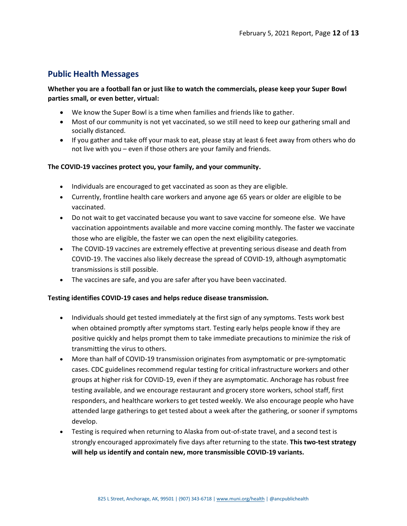## **Public Health Messages**

### **Whether you are a football fan or just like to watch the commercials, please keep your Super Bowl parties small, or even better, virtual:**

- We know the Super Bowl is a time when families and friends like to gather.
- Most of our community is not yet vaccinated, so we still need to keep our gathering small and socially distanced.
- If you gather and take off your mask to eat, please stay at least 6 feet away from others who do not live with you – even if those others are your family and friends.

### **The COVID-19 vaccines protect you, your family, and your community.**

- Individuals are encouraged to get vaccinated as soon as they are eligible.
- Currently, frontline health care workers and anyone age 65 years or older are eligible to be vaccinated.
- Do not wait to get vaccinated because you want to save vaccine for someone else. We have vaccination appointments available and more vaccine coming monthly. The faster we vaccinate those who are eligible, the faster we can open the next eligibility categories.
- The COVID-19 vaccines are extremely effective at preventing serious disease and death from COVID-19. The vaccines also likely decrease the spread of COVID-19, although asymptomatic transmissions is still possible.
- The vaccines are safe, and you are safer after you have been vaccinated.

### **Testing identifies COVID-19 cases and helps reduce disease transmission.**

- Individuals should get tested immediately at the first sign of any symptoms. Tests work best when obtained promptly after symptoms start. Testing early helps people know if they are positive quickly and helps prompt them to take immediate precautions to minimize the risk of transmitting the virus to others.
- More than half of COVID-19 transmission originates from asymptomatic or pre-symptomatic cases. CDC guidelines recommend regular testing for critical infrastructure workers and other groups at higher risk for COVID-19, even if they are asymptomatic. Anchorage has robust free testing available, and we encourage restaurant and grocery store workers, school staff, first responders, and healthcare workers to get tested weekly. We also encourage people who have attended large gatherings to get tested about a week after the gathering, or sooner if symptoms develop.
- Testing is required when returning to Alaska from out-of-state travel, and a second test is strongly encouraged approximately five days after returning to the state. **This two-test strategy will help us identify and contain new, more transmissible COVID-19 variants.**